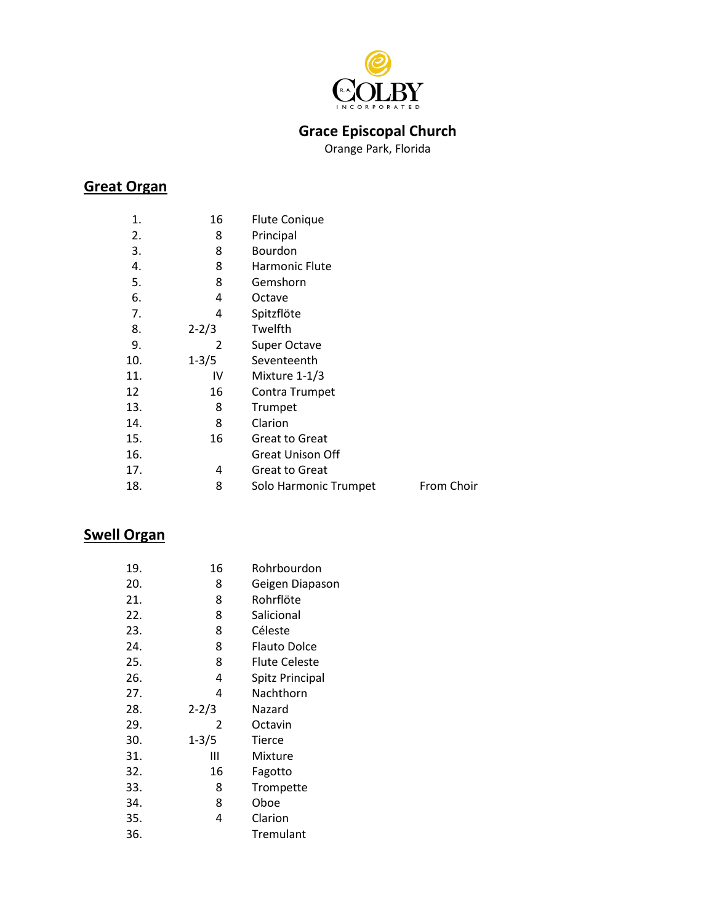

## **Grace Episcopal Church**

Orange Park, Florida

### **Great Organ**

| 1.  | 16        | <b>Flute Conique</b>    |            |
|-----|-----------|-------------------------|------------|
| 2.  | 8         | Principal               |            |
| 3.  | 8         | Bourdon                 |            |
| 4.  | 8         | Harmonic Flute          |            |
| 5.  | 8         | Gemshorn                |            |
| 6.  | 4         | Octave                  |            |
| 7.  | 4         | Spitzflöte              |            |
| 8.  | $2 - 2/3$ | Twelfth                 |            |
| 9.  | 2         | <b>Super Octave</b>     |            |
| 10. | $1 - 3/5$ | Seventeenth             |            |
| 11. | IV        | Mixture 1-1/3           |            |
| 12  | 16        | Contra Trumpet          |            |
| 13. | 8         | Trumpet                 |            |
| 14. | 8         | Clarion                 |            |
| 15. | 16        | <b>Great to Great</b>   |            |
| 16. |           | <b>Great Unison Off</b> |            |
| 17. | 4         | <b>Great to Great</b>   |            |
| 18. | 8         | Solo Harmonic Trumpet   | From Choir |

## **Swell Organ**

| 19. | 16        | Rohrbourdon     |
|-----|-----------|-----------------|
| 20. | 8         | Geigen Diapason |
| 21. | 8         | Rohrflöte       |
| 22. | 8         | Salicional      |
| 23. | 8         | Céleste         |
| 24. | 8         | Flauto Dolce    |
| 25. | 8         | Flute Celeste   |
| 26. | 4         | Spitz Principal |
| 27. | 4         | Nachthorn       |
| 28. | $2 - 2/3$ | Nazard          |
| 29. | 2         | Octavin         |
| 30. | $1 - 3/5$ | Tierce          |
| 31. | Ш         | Mixture         |
| 32. | 16        | Fagotto         |
| 33. | 8         | Trompette       |
| 34. | 8         | Oboe            |
| 35. | 4         | Clarion         |
| 36. |           | Tremulant       |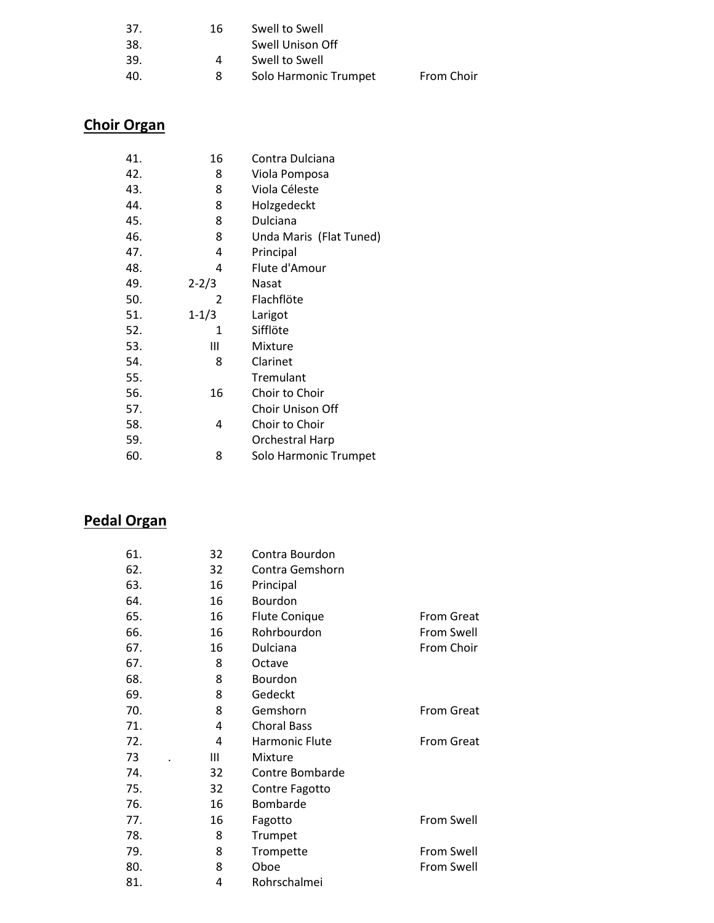| 37. | 16. | Swell to Swell        |            |
|-----|-----|-----------------------|------------|
| 38. |     | Swell Unison Off      |            |
| 39. |     | Swell to Swell        |            |
| 40. | 8   | Solo Harmonic Trumpet | From Choir |
|     |     |                       |            |

# **Choir Organ**

| 41. | 16            | Contra Dulciana         |
|-----|---------------|-------------------------|
| 42. | 8             | Viola Pomposa           |
| 43. | 8             | Viola Céleste           |
| 44. | 8             | Holzgedeckt             |
| 45. | 8             | Dulciana                |
| 46. | 8             | Unda Maris (Flat Tuned) |
| 47. | 4             | Principal               |
| 48. | 4             | Flute d'Amour           |
| 49. | $2 - 2/3$     | Nasat                   |
| 50. | $\mathcal{P}$ | Flachflöte              |
| 51. | $1 - 1/3$     | Larigot                 |
| 52. | 1             | Sifflöte                |
| 53. | Ш             | Mixture                 |
| 54. | 8             | Clarinet                |
| 55. |               | Tremulant               |
| 56. | 16            | Choir to Choir          |
| 57. |               | Choir Unison Off        |
| 58. | 4             | Choir to Choir          |
| 59. |               | <b>Orchestral Harp</b>  |
| 60. | 8             | Solo Harmonic Trumpet   |

### **Pedal Organ**

| 61. | 32 | Contra Bourdon        |                   |
|-----|----|-----------------------|-------------------|
| 62. | 32 | Contra Gemshorn       |                   |
| 63. | 16 | Principal             |                   |
| 64. | 16 | Bourdon               |                   |
| 65. | 16 | <b>Flute Conique</b>  | <b>From Great</b> |
| 66. | 16 | Rohrbourdon           | From Swell        |
| 67. | 16 | Dulciana              | From Choir        |
| 67. | 8  | Octave                |                   |
| 68. | 8  | Bourdon               |                   |
| 69. | 8  | Gedeckt               |                   |
| 70. | 8  | Gemshorn              | <b>From Great</b> |
| 71. | 4  | <b>Choral Bass</b>    |                   |
| 72. | 4  | <b>Harmonic Flute</b> | <b>From Great</b> |
| 73  | Ш  | Mixture               |                   |
| 74. | 32 | Contre Bombarde       |                   |
| 75. | 32 | Contre Fagotto        |                   |
| 76. | 16 | Bombarde              |                   |
| 77. | 16 | Fagotto               | <b>From Swell</b> |
| 78. | 8  | Trumpet               |                   |
| 79. | 8  | Trompette             | From Swell        |
| 80. | 8  | Oboe                  | <b>From Swell</b> |
| 81. | 4  | Rohrschalmei          |                   |